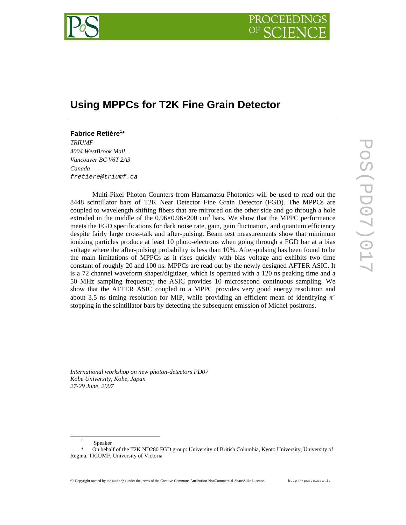

# **Using MPPCs for T2K Fine Grain Detector**

## **Fabrice Retière1 \***

*TRIUMF 4004 WestBrook Mall Vancouver BC V6T 2A3 Canada fretiere@triumf.ca* 

Multi-Pixel Photon Counters from Hamamatsu Photonics will be used to read out the 8448 scintillator bars of T2K Near Detector Fine Grain Detector (FGD). The MPPCs are coupled to wavelength shifting fibers that are mirrored on the other side and go through a hole extruded in the middle of the  $0.96 \times 0.96 \times 200$  cm<sup>3</sup> bars. We show that the MPPC performance meets the FGD specifications for dark noise rate, gain, gain fluctuation, and quantum efficiency despite fairly large cross-talk and after-pulsing. Beam test measurements show that minimum ionizing particles produce at least 10 photo-electrons when going through a FGD bar at a bias voltage where the after-pulsing probability is less than 10%. After-pulsing has been found to be the main limitations of MPPCs as it rises quickly with bias voltage and exhibits two time constant of roughly 20 and 100 ns. MPPCs are read out by the newly designed AFTER ASIC. It is a 72 channel waveform shaper/digitizer, which is operated with a 120 ns peaking time and a 50 MHz sampling frequency; the ASIC provides 10 microsecond continuous sampling. We show that the AFTER ASIC coupled to a MPPC provides very good energy resolution and about 3.5 ns timing resolution for MIP, while providing an efficient mean of identifying  $\pi^+$ stopping in the scintillator bars by detecting the subsequent emission of Michel positrons.

*International workshop on new photon-detectors PD07 Kobe University, Kobe, Japan 27-29 June, 2007*

 $\overline{\phantom{0}}$ 

Speaker

On behalf of the T2K ND280 FGD group: University of British Columbia, Kyoto University, University of Regina, TRIUMF, University of Victoria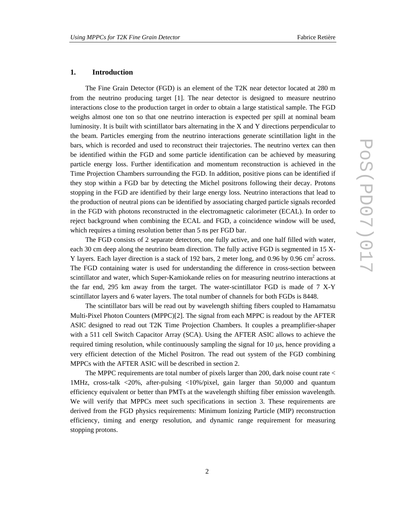#### **1. Introduction**

The Fine Grain Detector (FGD) is an element of the T2K near detector located at 280 m from the neutrino producing target [1]. The near detector is designed to measure neutrino interactions close to the production target in order to obtain a large statistical sample. The FGD weighs almost one ton so that one neutrino interaction is expected per spill at nominal beam luminosity. It is built with scintillator bars alternating in the X and Y directions perpendicular to the beam. Particles emerging from the neutrino interactions generate scintillation light in the bars, which is recorded and used to reconstruct their trajectories. The neutrino vertex can then be identified within the FGD and some particle identification can be achieved by measuring particle energy loss. Further identification and momentum reconstruction is achieved in the Time Projection Chambers surrounding the FGD. In addition, positive pions can be identified if they stop within a FGD bar by detecting the Michel positrons following their decay. Protons stopping in the FGD are identified by their large energy loss. Neutrino interactions that lead to the production of neutral pions can be identified by associating charged particle signals recorded in the FGD with photons reconstructed in the electromagnetic calorimeter (ECAL). In order to reject background when combining the ECAL and FGD, a coincidence window will be used, which requires a timing resolution better than 5 ns per FGD bar.

The FGD consists of 2 separate detectors, one fully active, and one half filled with water, each 30 cm deep along the neutrino beam direction. The fully active FGD is segmented in 15 X-Y layers. Each layer direction is a stack of 192 bars, 2 meter long, and 0.96 by 0.96 cm<sup>2</sup> across. The FGD containing water is used for understanding the difference in cross-section between scintillator and water, which Super-Kamiokande relies on for measuring neutrino interactions at the far end, 295 km away from the target. The water-scintillator FGD is made of 7 X-Y scintillator layers and 6 water layers. The total number of channels for both FGDs is 8448.

The scintillator bars will be read out by wavelength shifting fibers coupled to Hamamatsu Multi-Pixel Photon Counters (MPPC)[2]. The signal from each MPPC is readout by the AFTER ASIC designed to read out T2K Time Projection Chambers. It couples a preamplifier-shaper with a 511 cell Switch Capacitor Array (SCA). Using the AFTER ASIC allows to achieve the required timing resolution, while continuously sampling the signal for 10 µs, hence providing a very efficient detection of the Michel Positron. The read out system of the FGD combining MPPCs with the AFTER ASIC will be described in section 2.

The MPPC requirements are total number of pixels larger than 200, dark noise count rate < 1MHz, cross-talk <20%, after-pulsing <10%/pixel, gain larger than 50,000 and quantum efficiency equivalent or better than PMTs at the wavelength shifting fiber emission wavelength. We will verify that MPPCs meet such specifications in section 3. These requirements are derived from the FGD physics requirements: Minimum Ionizing Particle (MIP) reconstruction efficiency, timing and energy resolution, and dynamic range requirement for measuring stopping protons.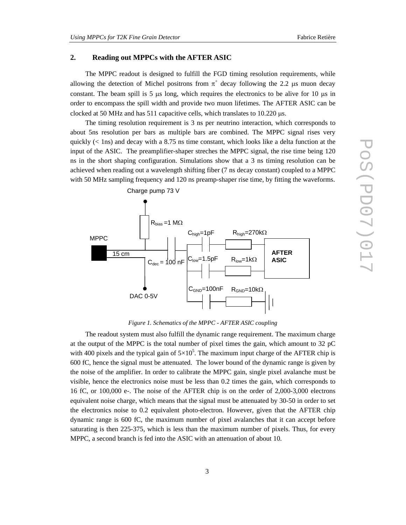## **2. Reading out MPPCs with the AFTER ASIC**

The MPPC readout is designed to fulfill the FGD timing resolution requirements, while allowing the detection of Michel positrons from  $\pi^+$  decay following the 2.2  $\mu$ s muon decay constant. The beam spill is 5  $\mu$ s long, which requires the electronics to be alive for 10  $\mu$ s in order to encompass the spill width and provide two muon lifetimes. The AFTER ASIC can be clocked at 50 MHz and has 511 capacitive cells, which translates to  $10.220 \mu s$ .

The timing resolution requirement is 3 ns per neutrino interaction, which corresponds to about 5ns resolution per bars as multiple bars are combined. The MPPC signal rises very quickly  $(<$  1ns) and decay with a 8.75 ns time constant, which looks like a delta function at the input of the ASIC. The preamplifier-shaper streches the MPPC signal, the rise time being 120 ns in the short shaping configuration. Simulations show that a 3 ns timing resolution can be achieved when reading out a wavelength shifting fiber (7 ns decay constant) coupled to a MPPC with 50 MHz sampling frequency and 120 ns preamp-shaper rise time, by fitting the waveforms.



*Figure 1. Schematics of the MPPC - AFTER ASIC coupling* 

The readout system must also fulfill the dynamic range requirement. The maximum charge at the output of the MPPC is the total number of pixel times the gain, which amount to 32 pC with 400 pixels and the typical gain of  $5 \times 10^5$ . The maximum input charge of the AFTER chip is 600 fC, hence the signal must be attenuated. The lower bound of the dynamic range is given by the noise of the amplifier. In order to calibrate the MPPC gain, single pixel avalanche must be visible, hence the electronics noise must be less than 0.2 times the gain, which corresponds to 16 fC, or 100,000 e-. The noise of the AFTER chip is on the order of 2,000-3,000 electrons equivalent noise charge, which means that the signal must be attenuated by 30-50 in order to set the electronics noise to 0.2 equivalent photo-electron. However, given that the AFTER chip dynamic range is 600 fC, the maximum number of pixel avalanches that it can accept before saturating is then 225-375, which is less than the maximum number of pixels. Thus, for every MPPC, a second branch is fed into the ASIC with an attenuation of about 10.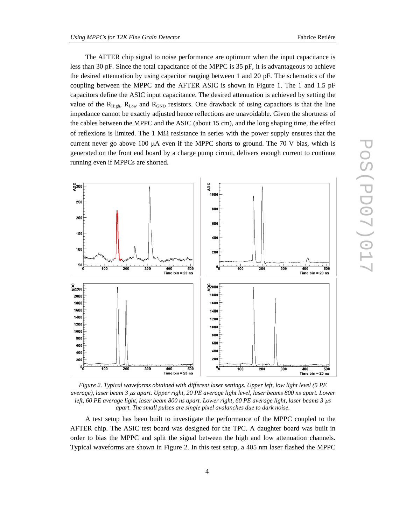The AFTER chip signal to noise performance are optimum when the input capacitance is less than 30 pF. Since the total capacitance of the MPPC is 35 pF, it is advantageous to achieve the desired attenuation by using capacitor ranging between 1 and 20 pF. The schematics of the coupling between the MPPC and the AFTER ASIC is shown in Figure 1. The 1 and 1.5 pF capacitors define the ASIC input capacitance. The desired attenuation is achieved by setting the value of the  $R_{High}$ ,  $R_{Low}$  and  $R_{GND}$  resistors. One drawback of using capacitors is that the line impedance cannot be exactly adjusted hence reflections are unavoidable. Given the shortness of the cables between the MPPC and the ASIC (about 15 cm), and the long shaping time, the effect of reflexions is limited. The 1  $\text{M}\Omega$  resistance in series with the power supply ensures that the current never go above 100  $\mu$ A even if the MPPC shorts to ground. The 70 V bias, which is generated on the front end board by a charge pump circuit, delivers enough current to continue running even if MPPCs are shorted.



*Figure 2. Typical waveforms obtained with different laser settings. Upper left, low light level (5 PE average), laser beam 3* µ*s apart. Upper right, 20 PE average light level, laser beams 800 ns apart. Lower left, 60 PE average light, laser beam 800 ns apart. Lower right, 60 PE average light, laser beams 3 µs apart. The small pulses are single pixel avalanches due to dark noise.* 

A test setup has been built to investigate the performance of the MPPC coupled to the AFTER chip. The ASIC test board was designed for the TPC. A daughter board was built in order to bias the MPPC and split the signal between the high and low attenuation channels. Typical waveforms are shown in Figure 2. In this test setup, a 405 nm laser flashed the MPPC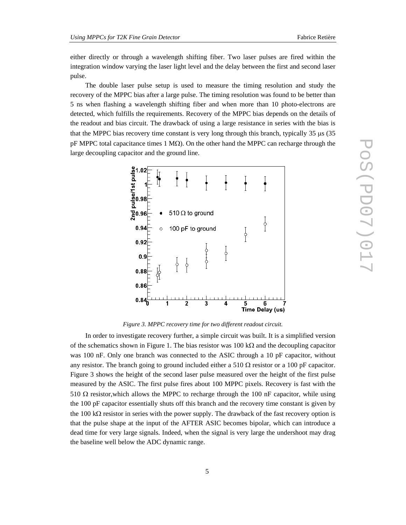either directly or through a wavelength shifting fiber. Two laser pulses are fired within the integration window varying the laser light level and the delay between the first and second laser pulse.

The double laser pulse setup is used to measure the timing resolution and study the recovery of the MPPC bias after a large pulse. The timing resolution was found to be better than 5 ns when flashing a wavelength shifting fiber and when more than 10 photo-electrons are detected, which fulfills the requirements. Recovery of the MPPC bias depends on the details of the readout and bias circuit. The drawback of using a large resistance in series with the bias is that the MPPC bias recovery time constant is very long through this branch, typically  $35 \mu s$  ( $35$ ) pF MPPC total capacitance times 1 M $\Omega$ ). On the other hand the MPPC can recharge through the large decoupling capacitor and the ground line.



*Figure 3. MPPC recovery time for two different readout circuit.* 

In order to investigate recovery further, a simple circuit was built. It is a simplified version of the schematics shown in Figure 1. The bias resistor was 100 kΩ and the decoupling capacitor was 100 nF. Only one branch was connected to the ASIC through a 10 pF capacitor, without any resistor. The branch going to ground included either a 510  $\Omega$  resistor or a 100 pF capacitor. Figure 3 shows the height of the second laser pulse measured over the height of the first pulse measured by the ASIC. The first pulse fires about 100 MPPC pixels. Recovery is fast with the 510  $\Omega$  resistor, which allows the MPPC to recharge through the 100 nF capacitor, while using the 100 pF capacitor essentially shuts off this branch and the recovery time constant is given by the 100 k $\Omega$  resistor in series with the power supply. The drawback of the fast recovery option is that the pulse shape at the input of the AFTER ASIC becomes bipolar, which can introduce a dead time for very large signals. Indeed, when the signal is very large the undershoot may drag the baseline well below the ADC dynamic range.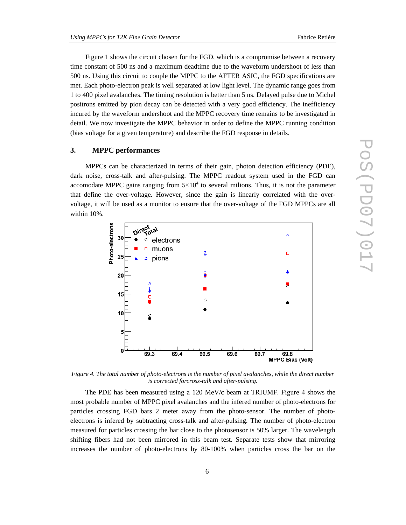Figure 1 shows the circuit chosen for the FGD, which is a compromise between a recovery time constant of 500 ns and a maximum deadtime due to the waveform undershoot of less than 500 ns. Using this circuit to couple the MPPC to the AFTER ASIC, the FGD specifications are met. Each photo-electron peak is well separated at low light level. The dynamic range goes from 1 to 400 pixel avalanches. The timing resolution is better than 5 ns. Delayed pulse due to Michel positrons emitted by pion decay can be detected with a very good efficiency. The inefficiency incured by the waveform undershoot and the MPPC recovery time remains to be investigated in detail. We now investigate the MPPC behavior in order to define the MPPC running condition (bias voltage for a given temperature) and describe the FGD response in details.

#### **3. MPPC performances**

MPPCs can be characterized in terms of their gain, photon detection efficiency (PDE), dark noise, cross-talk and after-pulsing. The MPPC readout system used in the FGD can accomodate MPPC gains ranging from  $5\times10^4$  to several milions. Thus, it is not the parameter that define the over-voltage. However, since the gain is linearly correlated with the overvoltage, it will be used as a monitor to ensure that the over-voltage of the FGD MPPCs are all within 10%.



*Figure 4. The total number of photo-electrons is the number of pixel avalanches, while the direct number is corrected forcross-talk and after-pulsing.* 

The PDE has been measured using a 120 MeV/c beam at TRIUMF. Figure 4 shows the most probable number of MPPC pixel avalanches and the infered number of photo-electrons for particles crossing FGD bars 2 meter away from the photo-sensor. The number of photoelectrons is infered by subtracting cross-talk and after-pulsing. The number of photo-electron measured for particles crossing the bar close to the photosensor is 50% larger. The wavelength shifting fibers had not been mirrored in this beam test. Separate tests show that mirroring increases the number of photo-electrons by 80-100% when particles cross the bar on the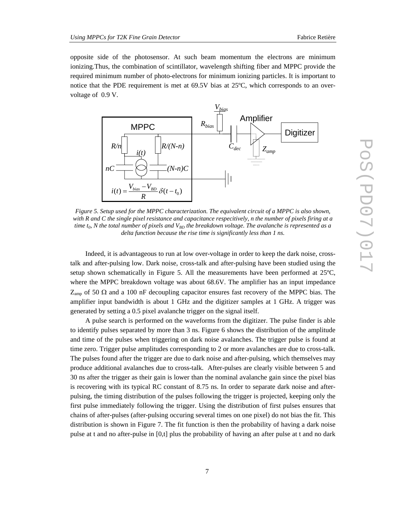opposite side of the photosensor. At such beam momentum the electrons are minimum ionizing.Thus, the combination of scintillator, wavelength shifting fiber and MPPC provide the required minimum number of photo-electrons for minimum ionizing particles. It is important to notice that the PDE requirement is met at 69.5V bias at 25ºC, which corresponds to an overvoltage of 0.9 V.



*Figure 5. Setup used for the MPPC characterization. The equivalent circuit of a MPPC is also shown, with R and C the single pixel resistance and capacitance respecitively, n the number of pixels firing at a time t<sub>0</sub>, N the total number of pixels and*  $V_{BD}$  *the breakdown voltage. The avalanche is represented as a delta function because the rise time is significantly less than 1 ns.* 

Indeed, it is advantageous to run at low over-voltage in order to keep the dark noise, crosstalk and after-pulsing low. Dark noise, cross-talk and after-pulsing have been studied using the setup shown schematically in Figure 5. All the measurements have been performed at 25ºC, where the MPPC breakdown voltage was about 68.6V. The amplifier has an input impedance  $Z_{\text{amp}}$  of 50  $\Omega$  and a 100 nF decoupling capacitor ensures fast recovery of the MPPC bias. The amplifier input bandwidth is about 1 GHz and the digitizer samples at 1 GHz. A trigger was generated by setting a 0.5 pixel avalanche trigger on the signal itself.

A pulse search is performed on the waveforms from the digitizer. The pulse finder is able to identify pulses separated by more than 3 ns. Figure 6 shows the distribution of the amplitude and time of the pulses when triggering on dark noise avalanches. The trigger pulse is found at time zero. Trigger pulse amplitudes corresponding to 2 or more avalanches are due to cross-talk. The pulses found after the trigger are due to dark noise and after-pulsing, which themselves may produce additional avalanches due to cross-talk. After-pulses are clearly visible between 5 and 30 ns after the trigger as their gain is lower than the nominal avalanche gain since the pixel bias is recovering with its typical RC constant of 8.75 ns. In order to separate dark noise and afterpulsing, the timing distribution of the pulses following the trigger is projected, keeping only the first pulse immediately following the trigger. Using the distribution of first pulses ensures that chains of after-pulses (after-pulsing occuring several times on one pixel) do not bias the fit. This distribution is shown in Figure 7. The fit function is then the probability of having a dark noise pulse at t and no after-pulse in [0,t] plus the probability of having an after pulse at t and no dark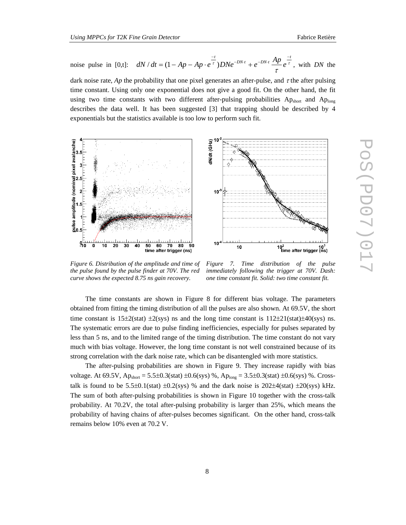dark noise rate, *Ap* the probability that one pixel generates an after-pulse, and τ the after pulsing time constant. Using only one exponential does not give a good fit. On the other hand, the fit using two time constants with two different after-pulsing probabilities Ap<sub>short</sub> and Aplong describes the data well. It has been suggested [3] that trapping should be described by 4 exponentials but the statistics available is too low to perform such fit.



dN/dt (GHz)  $10<sup>1</sup>$  $10<sup>°</sup>$  $10$ 10<sup>2</sup> (10<sup>3</sup> time after trigger

*Figure 6. Distribution of the amplitude and time of the pulse found by the pulse finder at 70V. The red curve shows the expected 8.75 ns gain recovery.* 

*Figure 7. Time distribution of the pulse immediately following the trigger at 70V. Dash: one time constant fit. Solid: two time constant fit.* 

The time constants are shown in Figure 8 for different bias voltage. The parameters obtained from fitting the timing distribution of all the pulses are also shown. At 69.5V, the short time constant is  $15\pm2$ (stat)  $\pm2$ (sys) ns and the long time constant is  $112\pm21$ (stat) $\pm40$ (sys) ns. The systematic errors are due to pulse finding inefficiencies, especially for pulses separated by less than 5 ns, and to the limited range of the timing distribution. The time constant do not vary much with bias voltage. However, the long time constant is not well constrained because of its strong correlation with the dark noise rate, which can be disantengled with more statistics.

The after-pulsing probabilities are shown in Figure 9. They increase rapidly with bias voltage. At 69.5V,  $Ap_{short} = 5.5 \pm 0.3$ (stat)  $\pm 0.6$ (sys) %,  $Ap_{long} = 3.5 \pm 0.3$ (stat)  $\pm 0.6$ (sys) %. Crosstalk is found to be 5.5±0.1(stat) ±0.2(sys) % and the dark noise is  $202\pm4$ (stat)  $\pm 20$ (sys) kHz. The sum of both after-pulsing probabilities is shown in Figure 10 together with the cross-talk probability. At 70.2V, the total after-pulsing probability is larger than 25%, which means the probability of having chains of after-pulses becomes significant. On the other hand, cross-talk remains below 10% even at 70.2 V.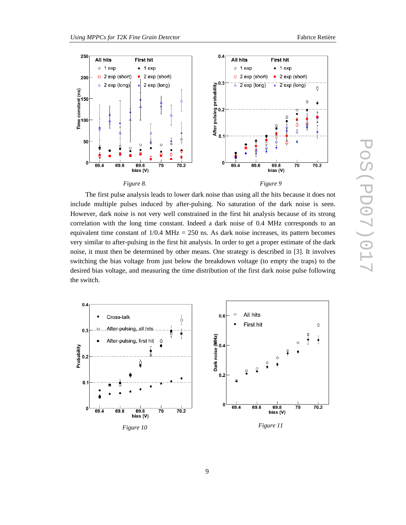



The first pulse analysis leads to lower dark noise than using all the hits because it does not include multiple pulses induced by after-pulsing. No saturation of the dark noise is seen. However, dark noise is not very well constrained in the first hit analysis because of its strong correlation with the long time constant. Indeed a dark noise of 0.4 MHz corresponds to an equivalent time constant of  $1/0.4$  MHz = 250 ns. As dark noise increases, its pattern becomes very similar to after-pulsing in the first hit analysis. In order to get a proper estimate of the dark noise, it must then be determined by other means. One strategy is described in [3]. It involves switching the bias voltage from just below the breakdown voltage (to empty the traps) to the desired bias voltage, and measuring the time distribution of the first dark noise pulse following the switch.